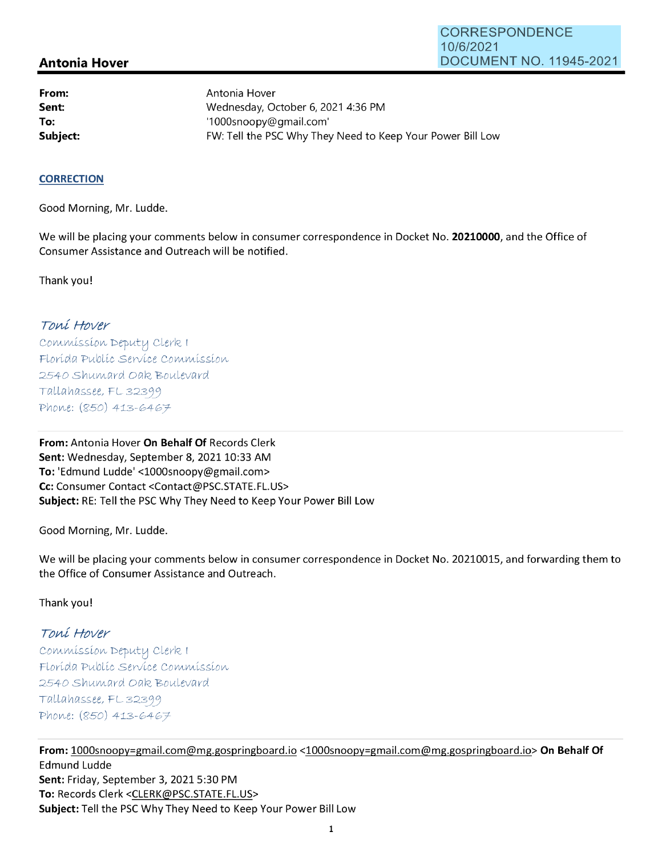# **Antonia Hover**

**From: Sent: To:** 

Antonia Hover Wednesday, October 6, 2021 4:36 PM '1 OOOsnoopy@gmail.com' **Subject: EXALG:** FW: Tell the PSC Why They Need to Keep Your Power Bill Low

#### **CORRECTION**

Good Morning, Mr. Ludde.

We will be placing your comments below in consumer correspondence in Docket No. **20210000,** and the Office of Consumer Assistance and Outreach will be notified.

Thank you!

### Toní Hover

Commission Deputy Clerk 1 Florída Publíc Service Commission 2540 Shumard Oak Boulevard  $Tallahasse, FL 32399$ Phone: (850) 413-6467

**From:** Antonia Hover **On Behalf Of** Records Clerk Sent: Wednesday, September 8, 2021 10:33 AM **To:** 'Edmund Ludde' <1000snoopy@gmail.com> **Cc:** Consumer Contact <Contact@PSC.STATE.FL.US> **Subject:** RE: Tell the PSC Why They Need to Keep Your Power Bill Low

Good Morning, Mr. Ludde.

We will be placing your comments below in consumer correspondence in Docket No. 20210015, and forwarding them to the Office of Consumer Assistance and Outreach.

Thank you!

# Toní Hover

 $Commission$  Deputy Clerk I Florída Publíc Servíce Commission 2540 Shumard Oak Boulevard  $Tallahasse, FL 32399$ Phone: (850) 413-6467

**From:** 1000snoopy=gmail.com@mg.gospringboard.io <1000snoopy=gmail.com@mg.gospringboard.io> **On Behalf Of**  Edmund Ludde **Sent:** Friday, September 3, 2021 5:30 PM **To:** Records Clerk <CLERK@PSC.STATE.FL.US> **Subject:** Tell the PSC Why They Need to Keep Your Power Bill Low